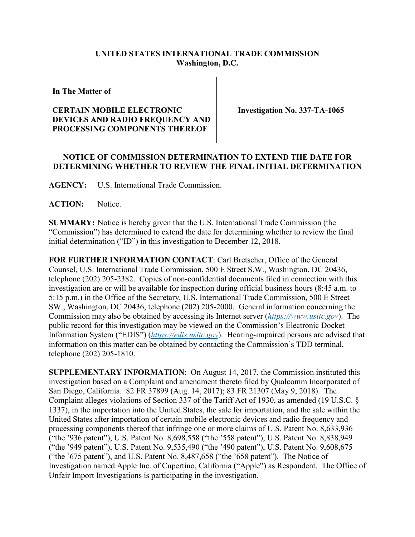## **UNITED STATES INTERNATIONAL TRADE COMMISSION Washington, D.C.**

**In The Matter of**

## **CERTAIN MOBILE ELECTRONIC DEVICES AND RADIO FREQUENCY AND PROCESSING COMPONENTS THEREOF**

**Investigation No. 337-TA-1065**

## **NOTICE OF COMMISSION DETERMINATION TO EXTEND THE DATE FOR DETERMINING WHETHER TO REVIEW THE FINAL INITIAL DETERMINATION**

**AGENCY:** U.S. International Trade Commission.

ACTION: Notice.

**SUMMARY:** Notice is hereby given that the U.S. International Trade Commission (the "Commission") has determined to extend the date for determining whether to review the final initial determination ("ID") in this investigation to December 12, 2018.

**FOR FURTHER INFORMATION CONTACT**: Carl Bretscher, Office of the General Counsel, U.S. International Trade Commission, 500 E Street S.W., Washington, DC 20436, telephone (202) 205-2382. Copies of non-confidential documents filed in connection with this investigation are or will be available for inspection during official business hours (8:45 a.m. to 5:15 p.m.) in the Office of the Secretary, U.S. International Trade Commission, 500 E Street SW., Washington, DC 20436, telephone (202) 205-2000. General information concerning the Commission may also be obtained by accessing its Internet server (*[https://www.usitc.gov](https://www.usitc.gov/)*). The public record for this investigation may be viewed on the Commission's Electronic Docket Information System ("EDIS") (*[https://edis.usitc.gov](https://edis.usitc.gov/)*). Hearing-impaired persons are advised that information on this matter can be obtained by contacting the Commission's TDD terminal, telephone (202) 205-1810.

**SUPPLEMENTARY INFORMATION**: On August 14, 2017, the Commission instituted this investigation based on a Complaint and amendment thereto filed by Qualcomm Incorporated of San Diego, California. 82 FR 37899 (Aug. 14, 2017); 83 FR 21307 (May 9, 2018). The Complaint alleges violations of Section 337 of the Tariff Act of 1930, as amended (19 U.S.C. § 1337), in the importation into the United States, the sale for importation, and the sale within the United States after importation of certain mobile electronic devices and radio frequency and processing components thereof that infringe one or more claims of U.S. Patent No. 8,633,936 ("the '936 patent"), U.S. Patent No. 8,698,558 ("the '558 patent"), U.S. Patent No. 8,838,949 ("the '949 patent"), U.S. Patent No. 9,535,490 ("the '490 patent"), U.S. Patent No. 9,608,675 ("the '675 patent"), and U.S. Patent No. 8,487,658 ("the '658 patent"). The Notice of Investigation named Apple Inc. of Cupertino, California ("Apple") as Respondent. The Office of Unfair Import Investigations is participating in the investigation.